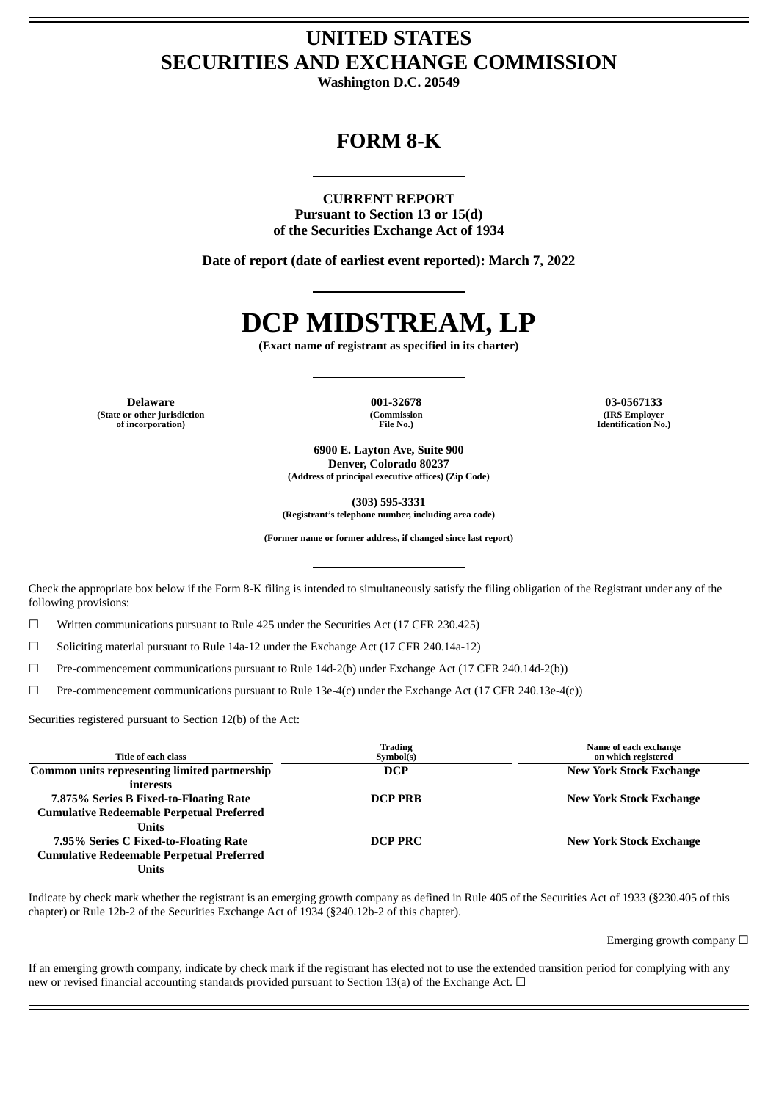# **UNITED STATES SECURITIES AND EXCHANGE COMMISSION**

**Washington D.C. 20549**

# **FORM 8-K**

**CURRENT REPORT Pursuant to Section 13 or 15(d) of the Securities Exchange Act of 1934**

**Date of report (date of earliest event reported): March 7, 2022**

# **DCP MIDSTREAM, LP**

**(Exact name of registrant as specified in its charter)**

**Delaware 001-32678 03-0567133 (State or other jurisdiction of incorporation)**

**(Commission File No.)**

**(IRS Employer Identification No.)**

**6900 E. Layton Ave, Suite 900 Denver, Colorado 80237 (Address of principal executive offices) (Zip Code)**

**(303) 595-3331**

**(Registrant's telephone number, including area code)**

**(Former name or former address, if changed since last report)**

Check the appropriate box below if the Form 8-K filing is intended to simultaneously satisfy the filing obligation of the Registrant under any of the following provisions:

 $\Box$  Written communications pursuant to Rule 425 under the Securities Act (17 CFR 230.425)

☐ Soliciting material pursuant to Rule 14a-12 under the Exchange Act (17 CFR 240.14a-12)

☐ Pre-commencement communications pursuant to Rule 14d-2(b) under Exchange Act (17 CFR 240.14d-2(b))

☐ Pre-commencement communications pursuant to Rule 13e-4(c) under the Exchange Act (17 CFR 240.13e-4(c))

Securities registered pursuant to Section 12(b) of the Act:

| Title of each class                                  | <b>Trading</b><br>Symbol(s) | Name of each exchange<br>on which registered |
|------------------------------------------------------|-----------------------------|----------------------------------------------|
| <b>Common units representing limited partnership</b> | <b>DCP</b>                  | <b>New York Stock Exchange</b>               |
| interests                                            |                             |                                              |
| 7.875% Series B Fixed-to-Floating Rate               | <b>DCP PRB</b>              | <b>New York Stock Exchange</b>               |
| <b>Cumulative Redeemable Perpetual Preferred</b>     |                             |                                              |
| Units                                                |                             |                                              |
| 7.95% Series C Fixed-to-Floating Rate                | <b>DCP PRC</b>              | <b>New York Stock Exchange</b>               |
| <b>Cumulative Redeemable Perpetual Preferred</b>     |                             |                                              |
| Units                                                |                             |                                              |

Indicate by check mark whether the registrant is an emerging growth company as defined in Rule 405 of the Securities Act of 1933 (§230.405 of this chapter) or Rule 12b-2 of the Securities Exchange Act of 1934 (§240.12b-2 of this chapter).

Emerging growth company  $\Box$ 

If an emerging growth company, indicate by check mark if the registrant has elected not to use the extended transition period for complying with any new or revised financial accounting standards provided pursuant to Section 13(a) of the Exchange Act.  $\Box$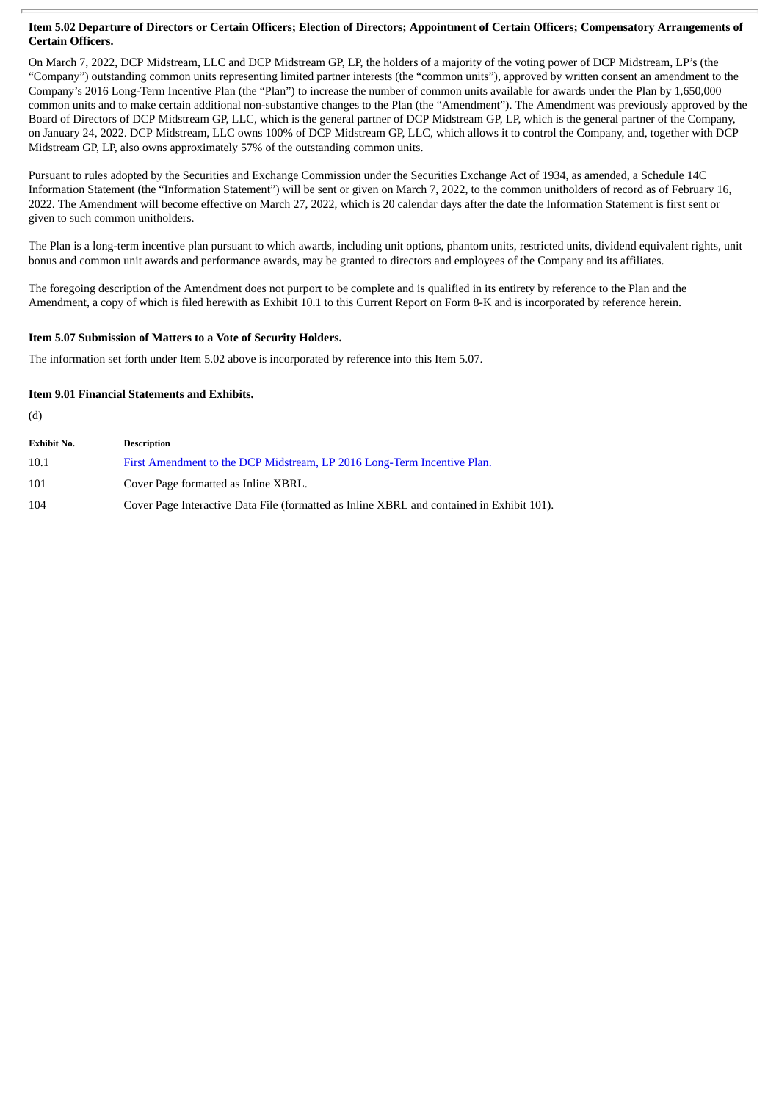## Item 5.02 Departure of Directors or Certain Officers; Election of Directors; Appointment of Certain Officers; Compensatory Arrangements of **Certain Officers.**

On March 7, 2022, DCP Midstream, LLC and DCP Midstream GP, LP, the holders of a majority of the voting power of DCP Midstream, LP's (the "Company") outstanding common units representing limited partner interests (the "common units"), approved by written consent an amendment to the Company's 2016 Long-Term Incentive Plan (the "Plan") to increase the number of common units available for awards under the Plan by 1,650,000 common units and to make certain additional non-substantive changes to the Plan (the "Amendment"). The Amendment was previously approved by the Board of Directors of DCP Midstream GP, LLC, which is the general partner of DCP Midstream GP, LP, which is the general partner of the Company, on January 24, 2022. DCP Midstream, LLC owns 100% of DCP Midstream GP, LLC, which allows it to control the Company, and, together with DCP Midstream GP, LP, also owns approximately 57% of the outstanding common units.

Pursuant to rules adopted by the Securities and Exchange Commission under the Securities Exchange Act of 1934, as amended, a Schedule 14C Information Statement (the "Information Statement") will be sent or given on March 7, 2022, to the common unitholders of record as of February 16, 2022. The Amendment will become effective on March 27, 2022, which is 20 calendar days after the date the Information Statement is first sent or given to such common unitholders.

The Plan is a long-term incentive plan pursuant to which awards, including unit options, phantom units, restricted units, dividend equivalent rights, unit bonus and common unit awards and performance awards, may be granted to directors and employees of the Company and its affiliates.

The foregoing description of the Amendment does not purport to be complete and is qualified in its entirety by reference to the Plan and the Amendment, a copy of which is filed herewith as Exhibit 10.1 to this Current Report on Form 8-K and is incorporated by reference herein.

# **Item 5.07 Submission of Matters to a Vote of Security Holders.**

The information set forth under Item 5.02 above is incorporated by reference into this Item 5.07.

# **Item 9.01 Financial Statements and Exhibits.**

(d)

| <b>Exhibit No.</b> | <b>Description</b>                                                                        |
|--------------------|-------------------------------------------------------------------------------------------|
| 10.1               | First Amendment to the DCP Midstream, LP 2016 Long-Term Incentive Plan.                   |
| 101                | Cover Page formatted as Inline XBRL.                                                      |
| 104                | Cover Page Interactive Data File (formatted as Inline XBRL and contained in Exhibit 101). |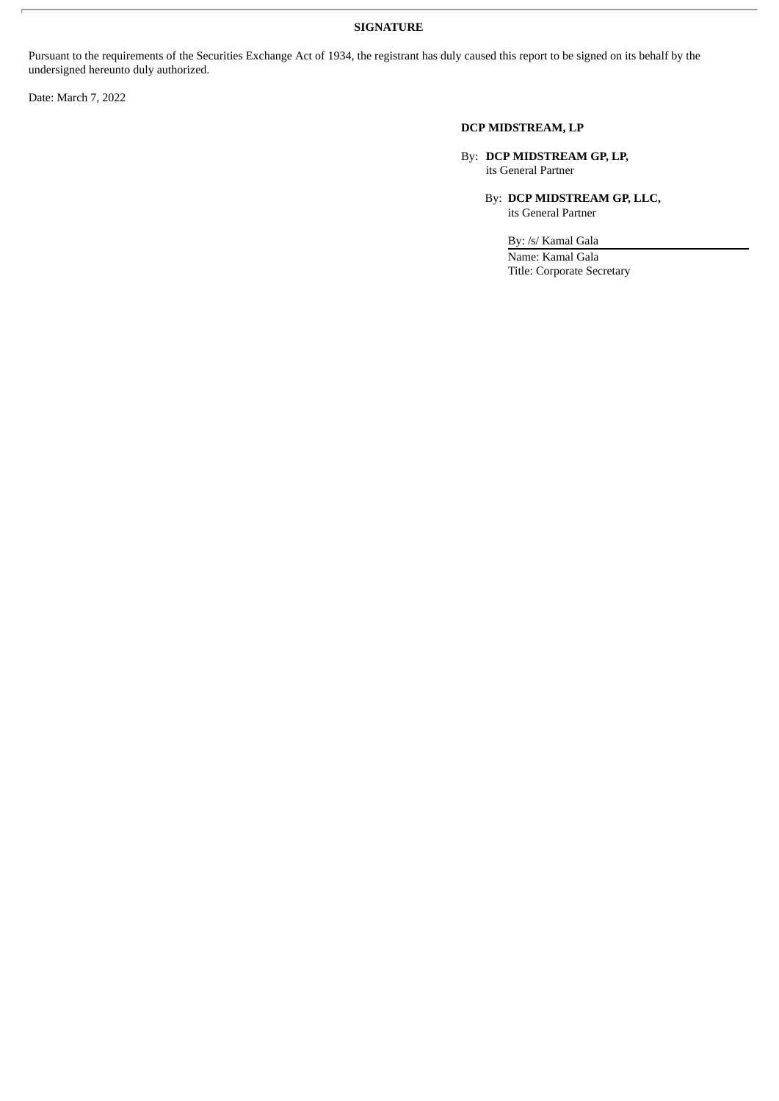# **SIGNATURE**

Pursuant to the requirements of the Securities Exchange Act of 1934, the registrant has duly caused this report to be signed on its behalf by the undersigned hereunto duly authorized.

Date: March 7, 2022

# **DCP MIDSTREAM, LP**

By: **DCP MIDSTREAM GP, LP,** its General Partner

> By: **DCP MIDSTREAM GP, LLC,** its General Partner

> > By: /s/ Kamal Gala Name: Kamal Gala Title: Corporate Secretary